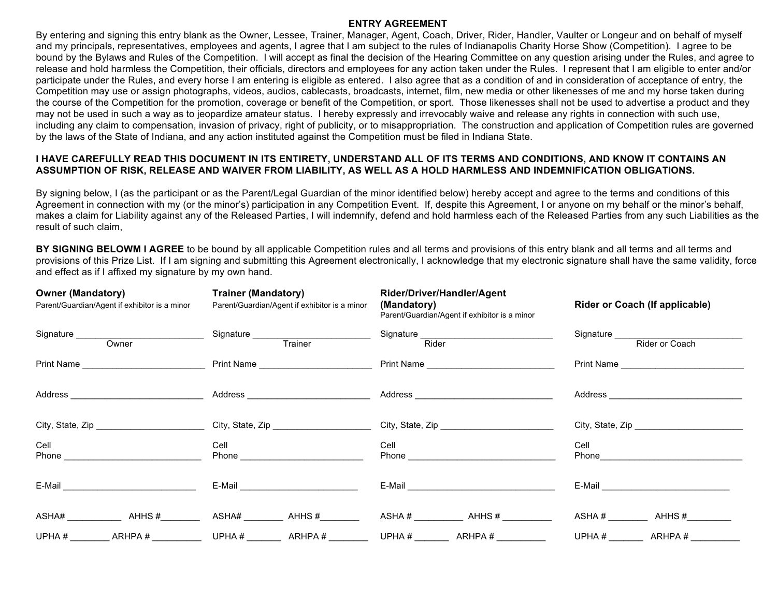#### **ENTRY AGREEMENT**

By entering and signing this entry blank as the Owner, Lessee, Trainer, Manager, Agent, Coach, Driver, Rider, Handler, Vaulter or Longeur and on behalf of myself and my principals, representatives, employees and agents, I agree that I am subject to the rules of Indianapolis Charity Horse Show (Competition). I agree to be bound by the Bylaws and Rules of the Competition. I will accept as final the decision of the Hearing Committee on any question arising under the Rules, and agree to release and hold harmless the Competition, their officials, directors and employees for any action taken under the Rules. I represent that I am eligible to enter and/or participate under the Rules, and every horse I am entering is eligible as entered. I also agree that as a condition of and in consideration of acceptance of entry, the Competition may use or assign photographs, videos, audios, cablecasts, broadcasts, internet, film, new media or other likenesses of me and my horse taken during the course of the Competition for the promotion, coverage or benefit of the Competition, or sport. Those likenesses shall not be used to advertise a product and they may not be used in such a way as to jeopardize amateur status. I hereby expressly and irrevocably waive and release any rights in connection with such use, including any claim to compensation, invasion of privacy, right of publicity, or to misappropriation. The construction and application of Competition rules are governed by the laws of the State of Indiana, and any action instituted against the Competition must be filed in Indiana State.

## **I HAVE CAREFULLY READ THIS DOCUMENT IN ITS ENTIRETY, UNDERSTAND ALL OF ITS TERMS AND CONDITIONS, AND KNOW IT CONTAINS AN ASSUMPTION OF RISK, RELEASE AND WAIVER FROM LIABILITY, AS WELL AS A HOLD HARMLESS AND INDEMNIFICATION OBLIGATIONS.**

By signing below. I (as the participant or as the Parent/Legal Guardian of the minor identified below) hereby accept and agree to the terms and conditions of this Agreement in connection with my (or the minor's) participation in any Competition Event. If, despite this Agreement, I or anyone on my behalf or the minor's behalf, makes a claim for Liability against any of the Released Parties, I will indemnify, defend and hold harmless each of the Released Parties from any such Liabilities as the result of such claim,

**BY SIGNING BELOWM I AGREE** to be bound by all applicable Competition rules and all terms and provisions of this entry blank and all terms and all terms and all terms and provisions of this Prize List. If I am signing and submitting this Agreement electronically, I acknowledge that my electronic signature shall have the same validity, force and effect as if I affixed my signature by my own hand.

| <b>Owner (Mandatory)</b><br>Parent/Guardian/Agent if exhibitor is a minor                                                                                                                                                                   | <b>Trainer (Mandatory)</b><br>Parent/Guardian/Agent if exhibitor is a minor | Rider/Driver/Handler/Agent<br>(Mandatory)<br>Parent/Guardian/Agent if exhibitor is a minor | <b>Rider or Coach (If applicable)</b>                                                                                                                                                                                          |  |  |
|---------------------------------------------------------------------------------------------------------------------------------------------------------------------------------------------------------------------------------------------|-----------------------------------------------------------------------------|--------------------------------------------------------------------------------------------|--------------------------------------------------------------------------------------------------------------------------------------------------------------------------------------------------------------------------------|--|--|
|                                                                                                                                                                                                                                             | Signature Trainer                                                           | Signature Rider<br>Rider                                                                   | Signature<br>Rider or Coach                                                                                                                                                                                                    |  |  |
|                                                                                                                                                                                                                                             |                                                                             |                                                                                            |                                                                                                                                                                                                                                |  |  |
|                                                                                                                                                                                                                                             |                                                                             |                                                                                            |                                                                                                                                                                                                                                |  |  |
|                                                                                                                                                                                                                                             |                                                                             |                                                                                            |                                                                                                                                                                                                                                |  |  |
| Cell<br>Phone <b>Proprietion</b> and the contract of the contract of the contract of the contract of the contract of the contract of the contract of the contract of the contract of the contract of the contract of the contract of the co | Cell                                                                        | Cell                                                                                       | Cell                                                                                                                                                                                                                           |  |  |
| $E$ -Mail $\overline{\phantom{a}}$                                                                                                                                                                                                          | E-Mail ______________________________                                       |                                                                                            | E-Mail experience and the set of the set of the set of the set of the set of the set of the set of the set of the set of the set of the set of the set of the set of the set of the set of the set of the set of the set of th |  |  |
|                                                                                                                                                                                                                                             |                                                                             | ASHA # ________________ AHHS # _____________                                               | $ASHA \#$ $AHHS \#$                                                                                                                                                                                                            |  |  |
| UPHA#<br>ARHPA#                                                                                                                                                                                                                             |                                                                             | ARHPA#<br>UPHA # $\_\_\_\_\_\_\_\_\_\_\_\_\_\_\_\_\_\_$                                    | ARHPA#                                                                                                                                                                                                                         |  |  |